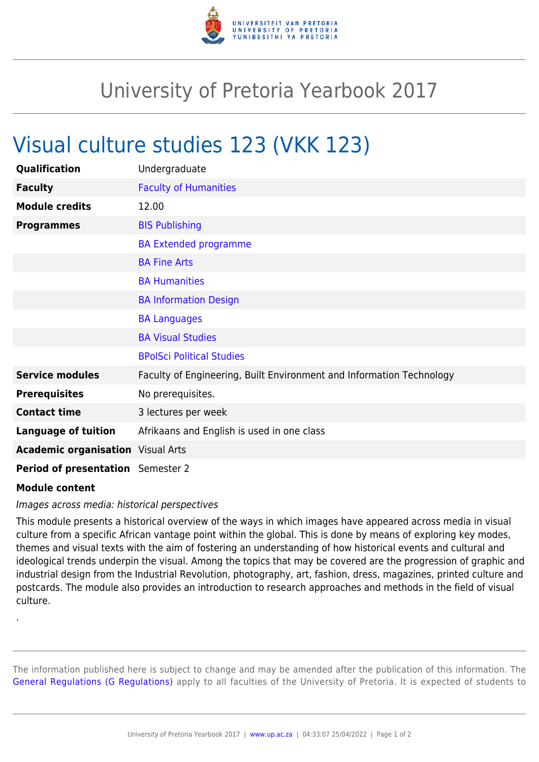

## University of Pretoria Yearbook 2017

## Visual culture studies 123 (VKK 123)

| Qualification                            | Undergraduate                                                        |
|------------------------------------------|----------------------------------------------------------------------|
| <b>Faculty</b>                           | <b>Faculty of Humanities</b>                                         |
| <b>Module credits</b>                    | 12.00                                                                |
| <b>Programmes</b>                        | <b>BIS Publishing</b>                                                |
|                                          | <b>BA Extended programme</b>                                         |
|                                          | <b>BA Fine Arts</b>                                                  |
|                                          | <b>BA Humanities</b>                                                 |
|                                          | <b>BA Information Design</b>                                         |
|                                          | <b>BA Languages</b>                                                  |
|                                          | <b>BA Visual Studies</b>                                             |
|                                          | <b>BPolSci Political Studies</b>                                     |
| <b>Service modules</b>                   | Faculty of Engineering, Built Environment and Information Technology |
| <b>Prerequisites</b>                     | No prerequisites.                                                    |
| <b>Contact time</b>                      | 3 lectures per week                                                  |
| <b>Language of tuition</b>               | Afrikaans and English is used in one class                           |
| <b>Academic organisation</b> Visual Arts |                                                                      |
| <b>Period of presentation</b> Semester 2 |                                                                      |

## **Module content**

.

## Images across media: historical perspectives

This module presents a historical overview of the ways in which images have appeared across media in visual culture from a specific African vantage point within the global. This is done by means of exploring key modes, themes and visual texts with the aim of fostering an understanding of how historical events and cultural and ideological trends underpin the visual. Among the topics that may be covered are the progression of graphic and industrial design from the Industrial Revolution, photography, art, fashion, dress, magazines, printed culture and postcards. The module also provides an introduction to research approaches and methods in the field of visual culture.

The information published here is subject to change and may be amended after the publication of this information. The [General Regulations \(G Regulations\)](https://www.up.ac.za/yearbooks/2017/rules/view/REG) apply to all faculties of the University of Pretoria. It is expected of students to